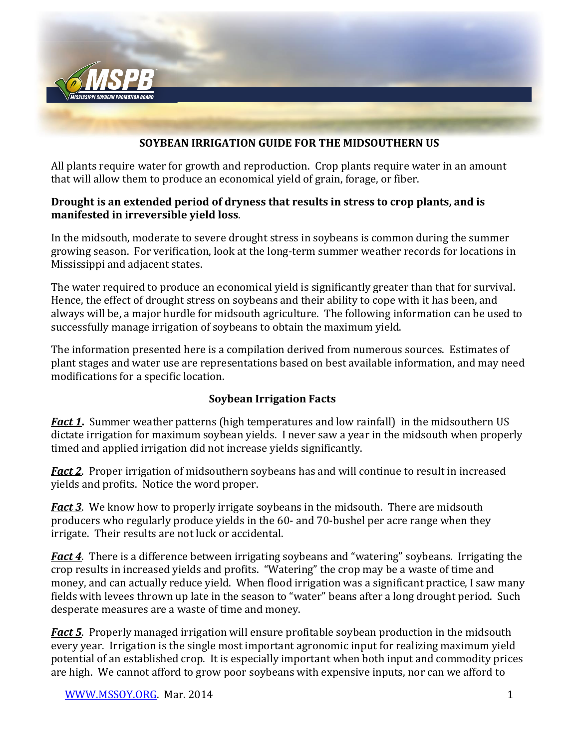

#### **SOYBEAN IRRIGATION GUIDE FOR THE MIDSOUTHERN US**

All plants require water for growth and reproduction. Crop plants require water in an amount that will allow them to produce an economical yield of grain, forage, or fiber.

#### **Drought is an extended period of dryness that results in stress to crop plants, and is manifested in irreversible yield loss**.

In the midsouth, moderate to severe drought stress in soybeans is common during the summer growing season. For verification, look at the long-term summer weather records for locations in Mississippi and adjacent states.

The water required to produce an economical yield is significantly greater than that for survival. Hence, the effect of drought stress on soybeans and their ability to cope with it has been, and always will be, a major hurdle for midsouth agriculture. The following information can be used to successfully manage irrigation of soybeans to obtain the maximum yield.

The information presented here is a compilation derived from numerous sources. Estimates of plant stages and water use are representations based on best available information, and may need modifications for a specific location.

#### **Soybean Irrigation Facts**

*Fact 1*. Summer weather patterns (high temperatures and low rainfall) in the midsouthern US dictate irrigation for maximum soybean yields. I never saw a year in the midsouth when properly timed and applied irrigation did not increase yields significantly.

*Fact 2*. Proper irrigation of midsouthern soybeans has and will continue to result in increased yields and profits. Notice the word proper.

*Fact 3*. We know how to properly irrigate soybeans in the midsouth. There are midsouth producers who regularly produce yields in the 60- and 70-bushel per acre range when they irrigate. Their results are not luck or accidental.

*Fact 4*. There is a difference between irrigating soybeans and "watering" soybeans. Irrigating the crop results in increased yields and profits. "Watering" the crop may be a waste of time and money, and can actually reduce yield. When flood irrigation was a significant practice, I saw many fields with levees thrown up late in the season to "water" beans after a long drought period. Such desperate measures are a waste of time and money.

*Fact 5*. Properly managed irrigation will ensure profitable soybean production in the midsouth every year. Irrigation is the single most important agronomic input for realizing maximum yield potential of an established crop. It is especially important when both input and commodity prices are high. We cannot afford to grow poor soybeans with expensive inputs, nor can we afford to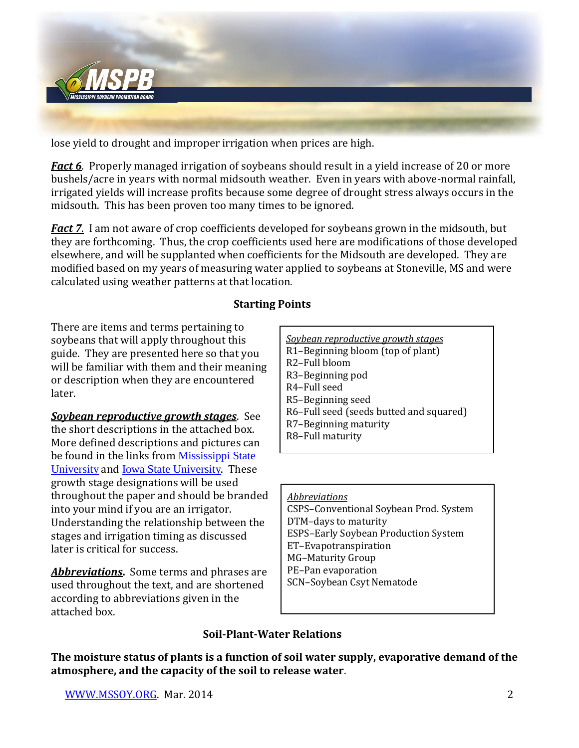

lose yield to drought and improper irrigation when prices are high.

*Fact 6*. Properly managed irrigation of soybeans should result in a yield increase of 20 or more bushels/acre in years with normal midsouth weather. Even in years with above-normal rainfall, irrigated yields will increase profits because some degree of drought stress always occurs in the midsouth. This has been proven too many times to be ignored.

*Fact 7.* I am not aware of crop coefficients developed for soybeans grown in the midsouth, but they are forthcoming. Thus, the crop coefficients used here are modifications of those developed elsewhere, and will be supplanted when coefficients for the Midsouth are developed. They are modified based on my years of measuring water applied to soybeans at Stoneville, MS and were calculated using weather patterns at that location.

### **Starting Points**

There are items and terms pertaining to soybeans that will apply throughout this guide. They are presented here so that you will be familiar with them and their meaning or description when they are encountered later.

*Soybean reproductive growth stages*. See the short descriptions in the attached box. More defined descriptions and pictures can be found in the links from [Mississippi State](http://msucares.com/pubs/publications/p2588.pdf)  [University](http://msucares.com/pubs/publications/p2588.pdf) and [Iowa State University](http://extension.agron.iastate.edu/soybean/production_growthstages.html). These growth stage designations will be used throughout the paper and should be branded into your mind if you are an irrigator. Understanding the relationship between the stages and irrigation timing as discussed later is critical for success.

*Abbreviations***.** Some terms and phrases are used throughout the text, and are shortened according to abbreviations given in the attached box.

| Soybean reproductive growth stages      |  |  |  |  |  |
|-----------------------------------------|--|--|--|--|--|
| R1-Beginning bloom (top of plant)       |  |  |  |  |  |
| R <sub>2</sub> -Full bloom              |  |  |  |  |  |
| R <sub>3</sub> -Beginning pod           |  |  |  |  |  |
| R4-Full seed                            |  |  |  |  |  |
| R5-Beginning seed                       |  |  |  |  |  |
| R6-Full seed (seeds butted and squared) |  |  |  |  |  |
| R7-Beginning maturity                   |  |  |  |  |  |
| R8-Full maturity                        |  |  |  |  |  |

*Abbreviations* CSPS–Conventional Soybean Prod. System DTM–days to maturity ESPS–Early Soybean Production System ET–Evapotranspiration MG–Maturity Group PE–Pan evaporation SCN–Soybean Csyt Nematode

#### **Soil-Plant-Water Relations**

**The moisture status of plants is a function of soil water supply, evaporative demand of the atmosphere, and the capacity of the soil to release water**.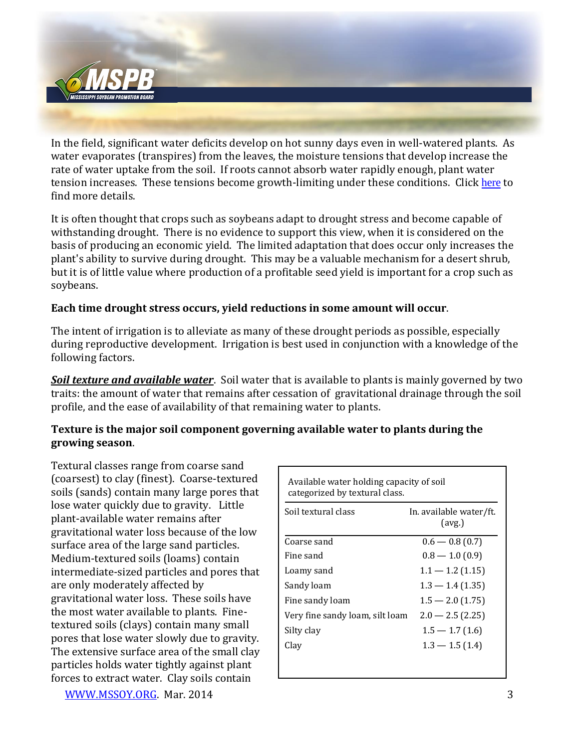

In the field, significant water deficits develop on hot sunny days even in well-watered plants. As water evaporates (transpires) from the leaves, the moisture tensions that develop increase the rate of water uptake from the soil. If roots cannot absorb water rapidly enough, plant water tension increases. These tensions become growth-limiting under these conditions. Click [here](http://mssoy.org/wp-content/uploads/2012/06/MAFES-BULL-919-1983.pdf) to find more details.

It is often thought that crops such as soybeans adapt to drought stress and become capable of withstanding drought. There is no evidence to support this view, when it is considered on the basis of producing an economic yield. The limited adaptation that does occur only increases the plant's ability to survive during drought. This may be a valuable mechanism for a desert shrub, but it is of little value where production of a profitable seed yield is important for a crop such as soybeans.

#### **Each time drought stress occurs, yield reductions in some amount will occur**.

The intent of irrigation is to alleviate as many of these drought periods as possible, especially during reproductive development. Irrigation is best used in conjunction with a knowledge of the following factors.

*Soil texture and available water*. Soil water that is available to plants is mainly governed by two traits: the amount of water that remains after cessation of gravitational drainage through the soil profile, and the ease of availability of that remaining water to plants.

#### **Texture is the major soil component governing available water to plants during the growing season**.

Textural classes range from coarse sand (coarsest) to clay (finest). Coarse-textured soils (sands) contain many large pores that lose water quickly due to gravity. Little plant-available water remains after gravitational water loss because of the low surface area of the large sand particles. Medium-textured soils (loams) contain intermediate-sized particles and pores that are only moderately affected by gravitational water loss. These soils have the most water available to plants. Finetextured soils (clays) contain many small pores that lose water slowly due to gravity. The extensive surface area of the small clay particles holds water tightly against plant forces to extract water. Clay soils contain

| Available water holding capacity of soil<br>categorized by textural class. |                                   |  |  |  |  |  |
|----------------------------------------------------------------------------|-----------------------------------|--|--|--|--|--|
| Soil textural class                                                        | In. available water/ft.<br>(avg.) |  |  |  |  |  |
| Coarse sand                                                                | $0.6 - 0.8(0.7)$                  |  |  |  |  |  |
| Fine sand                                                                  | $0.8 - 1.0(0.9)$                  |  |  |  |  |  |
| Loamy sand                                                                 | $1.1 - 1.2$ (1.15)                |  |  |  |  |  |
| Sandy loam                                                                 | $1.3 - 1.4(1.35)$                 |  |  |  |  |  |
| Fine sandy loam                                                            | $1.5 - 2.0(1.75)$                 |  |  |  |  |  |
| Very fine sandy loam, silt loam                                            | $2.0 - 2.5(2.25)$                 |  |  |  |  |  |
| Silty clay                                                                 | $1.5 - 1.7(1.6)$                  |  |  |  |  |  |
| Clay                                                                       | $1.3 - 1.5(1.4)$                  |  |  |  |  |  |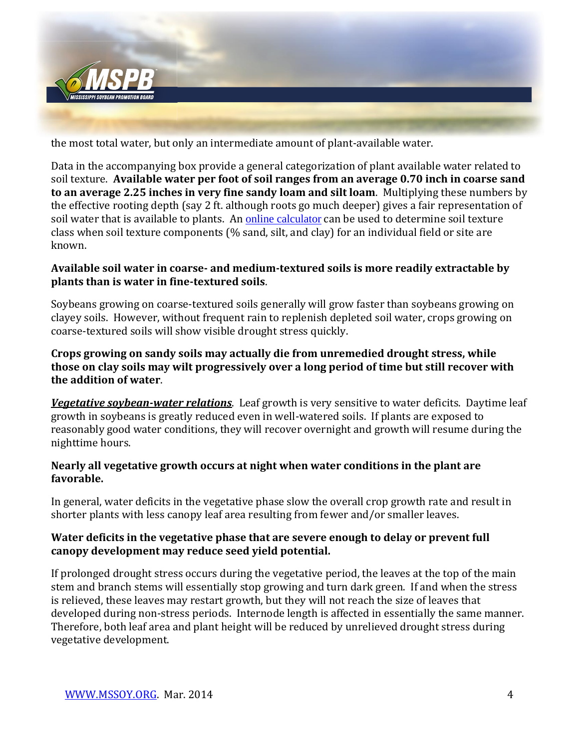

the most total water, but only an intermediate amount of plant-available water.

Data in the accompanying box provide a general categorization of plant available water related to soil texture. **Available water per foot of soil ranges from an average 0.70 inch in coarse sand to an average 2.25 inches in very fine sandy loam and silt loam**. Multiplying these numbers by the effective rooting depth (say 2 ft. although roots go much deeper) gives a fair representation of soil water that is available to plants. An [online calculator](http://www.pedosphere.com/resources/bulkdensity/worktable_us.cfm) can be used to determine soil texture class when soil texture components (% sand, silt, and clay) for an individual field or site are known.

#### **Available soil water in coarse- and medium-textured soils is more readily extractable by plants than is water in fine-textured soils**.

Soybeans growing on coarse-textured soils generally will grow faster than soybeans growing on clayey soils. However, without frequent rain to replenish depleted soil water, crops growing on coarse-textured soils will show visible drought stress quickly.

#### **Crops growing on sandy soils may actually die from unremedied drought stress, while those on clay soils may wilt progressively over a long period of time but still recover with the addition of water**.

*Vegetative soybean-water relations*. Leaf growth is very sensitive to water deficits. Daytime leaf growth in soybeans is greatly reduced even in well-watered soils. If plants are exposed to reasonably good water conditions, they will recover overnight and growth will resume during the nighttime hours.

#### **Nearly all vegetative growth occurs at night when water conditions in the plant are favorable.**

In general, water deficits in the vegetative phase slow the overall crop growth rate and result in shorter plants with less canopy leaf area resulting from fewer and/or smaller leaves.

### **Water deficits in the vegetative phase that are severe enough to delay or prevent full canopy development may reduce seed yield potential.**

If prolonged drought stress occurs during the vegetative period, the leaves at the top of the main stem and branch stems will essentially stop growing and turn dark green. If and when the stress is relieved, these leaves may restart growth, but they will not reach the size of leaves that developed during non-stress periods. Internode length is affected in essentially the same manner. Therefore, both leaf area and plant height will be reduced by unrelieved drought stress during vegetative development.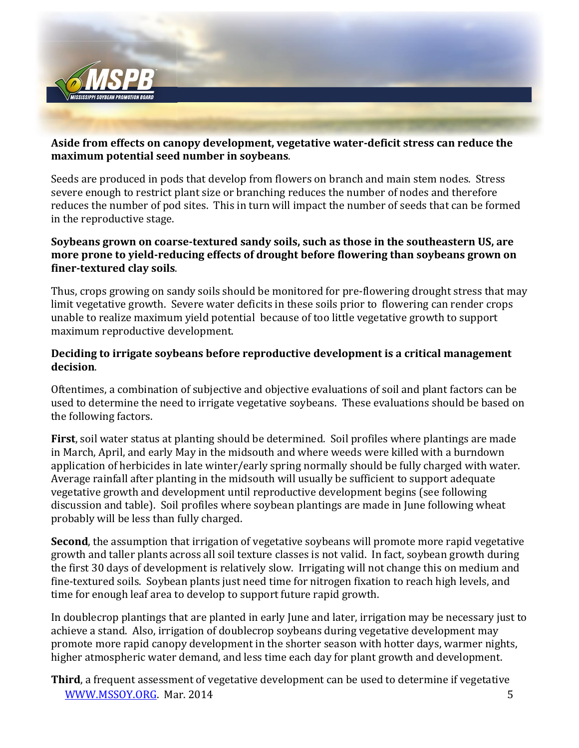

#### **Aside from effects on canopy development, vegetative water-deficit stress can reduce the maximum potential seed number in soybeans**.

Seeds are produced in pods that develop from flowers on branch and main stem nodes. Stress severe enough to restrict plant size or branching reduces the number of nodes and therefore reduces the number of pod sites. This in turn will impact the number of seeds that can be formed in the reproductive stage.

### **Soybeans grown on coarse-textured sandy soils, such as those in the southeastern US, are more prone to yield-reducing effects of drought before flowering than soybeans grown on finer-textured clay soils**.

Thus, crops growing on sandy soils should be monitored for pre-flowering drought stress that may limit vegetative growth. Severe water deficits in these soils prior to flowering can render crops unable to realize maximum yield potential because of too little vegetative growth to support maximum reproductive development.

### **Deciding to irrigate soybeans before reproductive development is a critical management decision**.

Oftentimes, a combination of subjective and objective evaluations of soil and plant factors can be used to determine the need to irrigate vegetative soybeans. These evaluations should be based on the following factors.

**First**, soil water status at planting should be determined. Soil profiles where plantings are made in March, April, and early May in the midsouth and where weeds were killed with a burndown application of herbicides in late winter/early spring normally should be fully charged with water. Average rainfall after planting in the midsouth will usually be sufficient to support adequate vegetative growth and development until reproductive development begins (see following discussion and table). Soil profiles where soybean plantings are made in June following wheat probably will be less than fully charged.

**Second**, the assumption that irrigation of vegetative soybeans will promote more rapid vegetative growth and taller plants across all soil texture classes is not valid. In fact, soybean growth during the first 30 days of development is relatively slow. Irrigating will not change this on medium and fine-textured soils. Soybean plants just need time for nitrogen fixation to reach high levels, and time for enough leaf area to develop to support future rapid growth.

In doublecrop plantings that are planted in early June and later, irrigation may be necessary just to achieve a stand. Also, irrigation of doublecrop soybeans during vegetative development may promote more rapid canopy development in the shorter season with hotter days, warmer nights, higher atmospheric water demand, and less time each day for plant growth and development.

[WWW.MSSOY.ORG.](http://www.mssoy.org/) Mar. 2014 5 **Third**, a frequent assessment of vegetative development can be used to determine if vegetative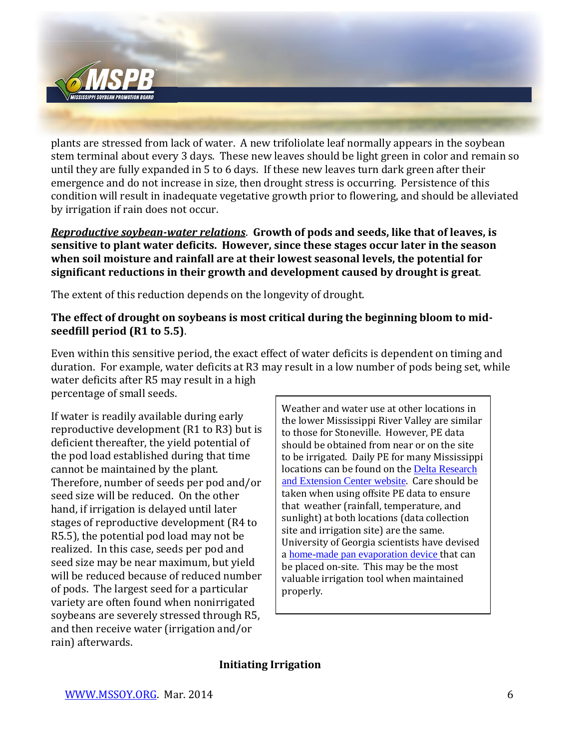

plants are stressed from lack of water. A new trifoliolate leaf normally appears in the soybean stem terminal about every 3 days. These new leaves should be light green in color and remain so until they are fully expanded in 5 to 6 days. If these new leaves turn dark green after their emergence and do not increase in size, then drought stress is occurring. Persistence of this condition will result in inadequate vegetative growth prior to flowering, and should be alleviated by irrigation if rain does not occur.

*Reproductive soybean-water relations*. **Growth of pods and seeds, like that of leaves, is sensitive to plant water deficits. However, since these stages occur later in the season when soil moisture and rainfall are at their lowest seasonal levels, the potential for significant reductions in their growth and development caused by drought is great**.

The extent of this reduction depends on the longevity of drought.

### **The effect of drought on soybeans is most critical during the beginning bloom to midseedfill period (R1 to 5.5)**.

Even within this sensitive period, the exact effect of water deficits is dependent on timing and duration. For example, water deficits at R3 may result in a low number of pods being set, while water deficits after R5 may result in a high percentage of small seeds.

If water is readily available during early reproductive development (R1 to R3) but is deficient thereafter, the yield potential of the pod load established during that time cannot be maintained by the plant. Therefore, number of seeds per pod and/or seed size will be reduced. On the other hand, if irrigation is delayed until later stages of reproductive development (R4 to R5.5), the potential pod load may not be realized. In this case, seeds per pod and seed size may be near maximum, but yield will be reduced because of reduced number of pods. The largest seed for a particular variety are often found when nonirrigated soybeans are severely stressed through R5, and then receive water (irrigation and/or rain) afterwards.

Weather and water use at other locations in the lower Mississippi River Valley are similar to those for Stoneville. However, PE data should be obtained from near or on the site to be irrigated. Daily PE for many Mississippi locations can be found on the [Delta Research](http://ext.msstate.edu/anr/drec/weather.cgi)  [and Extension Center website](http://ext.msstate.edu/anr/drec/weather.cgi). Care should be taken when using offsite PE data to ensure that weather (rainfall, temperature, and sunlight) at both locations (data collection site and irrigation site) are the same. University of Georgia scientists have devised a [home-made pan evaporation device](http://www.caes.uga.edu/publications/pubDetail.cfm?pk_id=6297) that can be placed on-site. This may be the most valuable irrigation tool when maintained properly.

### **Initiating Irrigation**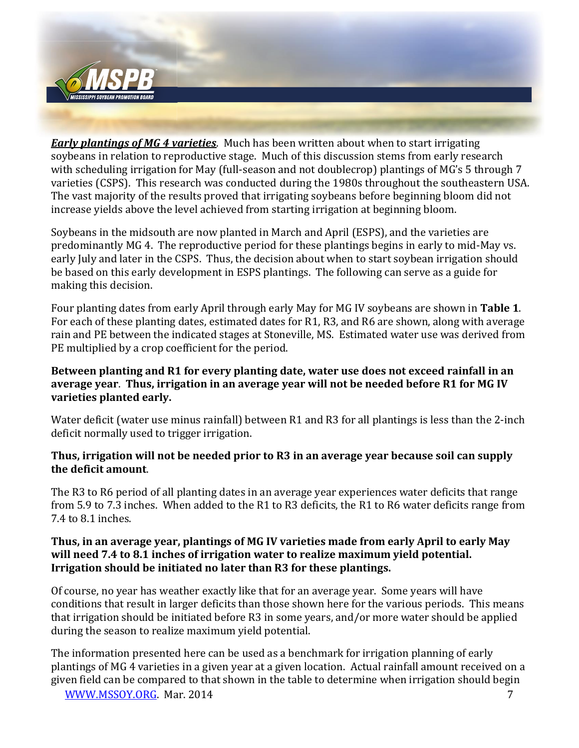

*Early plantings of MG 4 varieties*. Much has been written about when to start irrigating soybeans in relation to reproductive stage. Much of this discussion stems from early research with scheduling irrigation for May (full-season and not doublecrop) plantings of MG's 5 through 7 varieties (CSPS). This research was conducted during the 1980s throughout the southeastern USA. The vast majority of the results proved that irrigating soybeans before beginning bloom did not increase yields above the level achieved from starting irrigation at beginning bloom.

Soybeans in the midsouth are now planted in March and April (ESPS), and the varieties are predominantly MG 4. The reproductive period for these plantings begins in early to mid-May vs. early July and later in the CSPS. Thus, the decision about when to start soybean irrigation should be based on this early development in ESPS plantings. The following can serve as a guide for making this decision.

Four planting dates from early April through early May for MG IV soybeans are shown in **Table 1**. For each of these planting dates, estimated dates for R1, R3, and R6 are shown, along with average rain and PE between the indicated stages at Stoneville, MS. Estimated water use was derived from PE multiplied by a crop coefficient for the period.

### **Between planting and R1 for every planting date, water use does not exceed rainfall in an average year**. **Thus, irrigation in an average year will not be needed before R1 for MG IV varieties planted early.**

Water deficit (water use minus rainfall) between R1 and R3 for all plantings is less than the 2-inch deficit normally used to trigger irrigation.

#### **Thus, irrigation will not be needed prior to R3 in an average year because soil can supply the deficit amount**.

The R3 to R6 period of all planting dates in an average year experiences water deficits that range from 5.9 to 7.3 inches. When added to the R1 to R3 deficits, the R1 to R6 water deficits range from 7.4 to 8.1 inches.

#### **Thus, in an average year, plantings of MG IV varieties made from early April to early May will need 7.4 to 8.1 inches of irrigation water to realize maximum yield potential. Irrigation should be initiated no later than R3 for these plantings.**

Of course, no year has weather exactly like that for an average year. Some years will have conditions that result in larger deficits than those shown here for the various periods. This means that irrigation should be initiated before R3 in some years, and/or more water should be applied during the season to realize maximum yield potential.

The information presented here can be used as a benchmark for irrigation planning of early plantings of MG 4 varieties in a given year at a given location. Actual rainfall amount received on a given field can be compared to that shown in the table to determine when irrigation should begin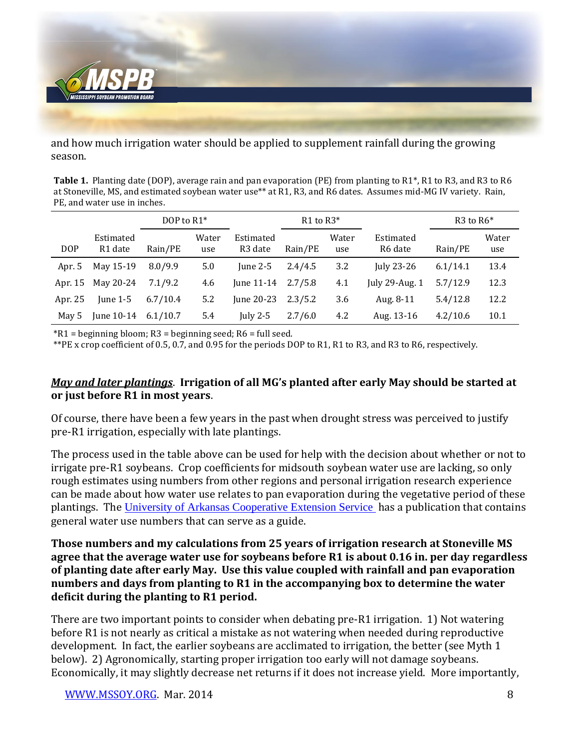

and how much irrigation water should be applied to supplement rainfall during the growing season.

**Table 1.** Planting date (DOP), average rain and pan evaporation (PE) from planting to R1\*, R1 to R3, and R3 to R6 at Stoneville, MS, and estimated soybean water use\*\* at R1, R3, and R6 dates. Assumes mid-MG IV variety. Rain, PE, and water use in inches.

|            |                      | DOP to R1* |              |                                  | R <sub>1</sub> to $R3*$ |              |                      | R <sub>3</sub> to $R6*$ |              |
|------------|----------------------|------------|--------------|----------------------------------|-------------------------|--------------|----------------------|-------------------------|--------------|
| <b>DOP</b> | Estimated<br>R1 date | Rain/PE    | Water<br>use | Estimated<br>R <sub>3</sub> date | Rain/PE                 | Water<br>use | Estimated<br>R6 date | Rain/PE                 | Water<br>use |
| Apr. 5     | May 15-19            | 8.0/9.9    | 5.0          | June $2-5$                       | 2.4/4.5                 | 3.2          | July 23-26           | 6.1/14.1                | 13.4         |
| Apr. 15    | May 20-24            | 7.1/9.2    | 4.6          | June $11-14$                     | 2.7/5.8                 | 4.1          | July 29-Aug. $1$     | 5.7/12.9                | 12.3         |
| Apr. 25    | June $1-5$           | 6.7/10.4   | 5.2          | June 20-23                       | 2.3/5.2                 | 3.6          | Aug. 8-11            | 5.4/12.8                | 12.2         |
| May 5      | June 10-14           | 6.1/10.7   | 5.4          | July 2-5                         | 2.7/6.0                 | 4.2          | Aug. 13-16           | 4.2/10.6                | 10.1         |

 $*R1 =$  beginning bloom; R3 = beginning seed; R6 = full seed.

\*\*PE x crop coefficient of 0.5, 0.7, and 0.95 for the periods DOP to R1, R1 to R3, and R3 to R6, respectively.

### *May and later plantings*. **Irrigation of all MG's planted after early May should be started at or just before R1 in most years**.

Of course, there have been a few years in the past when drought stress was perceived to justify pre-R1 irrigation, especially with late plantings.

The process used in the table above can be used for help with the decision about whether or not to irrigate pre-R1 soybeans. Crop coefficients for midsouth soybean water use are lacking, so only rough estimates using numbers from other regions and personal irrigation research experience can be made about how water use relates to pan evaporation during the vegetative period of these plantings. The [University of Arkansas Cooperative Extension Service](http://www.aragriculture.org/soil_water/irrigation/crop/soybeans.htm) has a publication that contains general water use numbers that can serve as a guide.

**Those numbers and my calculations from 25 years of irrigation research at Stoneville MS agree that the average water use for soybeans before R1 is about 0.16 in. per day regardless of planting date after early May. Use this value coupled with rainfall and pan evaporation numbers and days from planting to R1 in the accompanying box to determine the water deficit during the planting to R1 period.**

There are two important points to consider when debating pre-R1 irrigation. 1) Not watering before R1 is not nearly as critical a mistake as not watering when needed during reproductive development. In fact, the earlier soybeans are acclimated to irrigation, the better (see Myth 1 below). 2) Agronomically, starting proper irrigation too early will not damage soybeans. Economically, it may slightly decrease net returns if it does not increase yield. More importantly,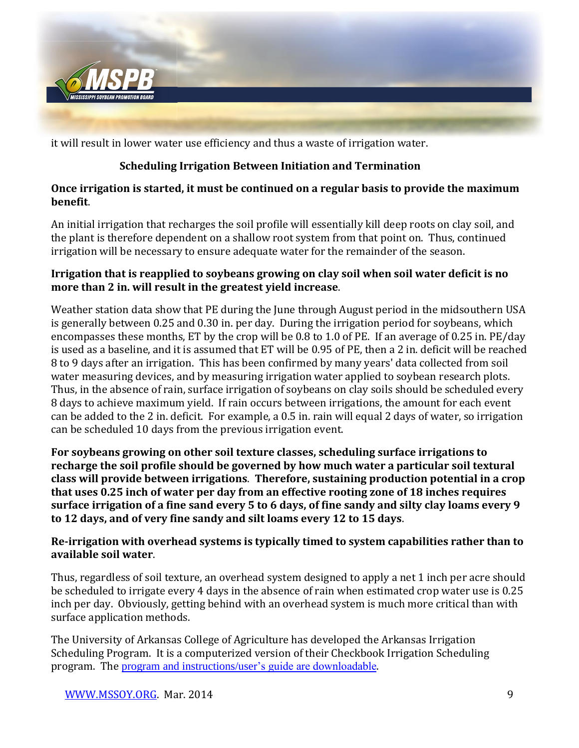

it will result in lower water use efficiency and thus a waste of irrigation water.

## **Scheduling Irrigation Between Initiation and Termination**

### **Once irrigation is started, it must be continued on a regular basis to provide the maximum benefit**.

An initial irrigation that recharges the soil profile will essentially kill deep roots on clay soil, and the plant is therefore dependent on a shallow root system from that point on. Thus, continued irrigation will be necessary to ensure adequate water for the remainder of the season.

### **Irrigation that is reapplied to soybeans growing on clay soil when soil water deficit is no more than 2 in. will result in the greatest yield increase**.

Weather station data show that PE during the June through August period in the midsouthern USA is generally between 0.25 and 0.30 in. per day. During the irrigation period for soybeans, which encompasses these months, ET by the crop will be 0.8 to 1.0 of PE. If an average of 0.25 in. PE/day is used as a baseline, and it is assumed that ET will be 0.95 of PE, then a 2 in. deficit will be reached 8 to 9 days after an irrigation. This has been confirmed by many years' data collected from soil water measuring devices, and by measuring irrigation water applied to soybean research plots. Thus, in the absence of rain, surface irrigation of soybeans on clay soils should be scheduled every 8 days to achieve maximum yield. If rain occurs between irrigations, the amount for each event can be added to the 2 in. deficit. For example, a 0.5 in. rain will equal 2 days of water, so irrigation can be scheduled 10 days from the previous irrigation event.

**For soybeans growing on other soil texture classes, scheduling surface irrigations to recharge the soil profile should be governed by how much water a particular soil textural class will provide between irrigations**. **Therefore, sustaining production potential in a crop that uses 0.25 inch of water per day from an effective rooting zone of 18 inches requires surface irrigation of a fine sand every 5 to 6 days, of fine sandy and silty clay loams every 9 to 12 days, and of very fine sandy and silt loams every 12 to 15 days**.

### **Re-irrigation with overhead systems is typically timed to system capabilities rather than to available soil water**.

Thus, regardless of soil texture, an overhead system designed to apply a net 1 inch per acre should be scheduled to irrigate every 4 days in the absence of rain when estimated crop water use is 0.25 inch per day. Obviously, getting behind with an overhead system is much more critical than with surface application methods.

The University of Arkansas College of Agriculture has developed the Arkansas Irrigation Scheduling Program. It is a computerized version of their Checkbook Irrigation Scheduling program. The [program and instructions/user's guide are downloadable](http://regapp.uaex.edu/irrInsert.asp).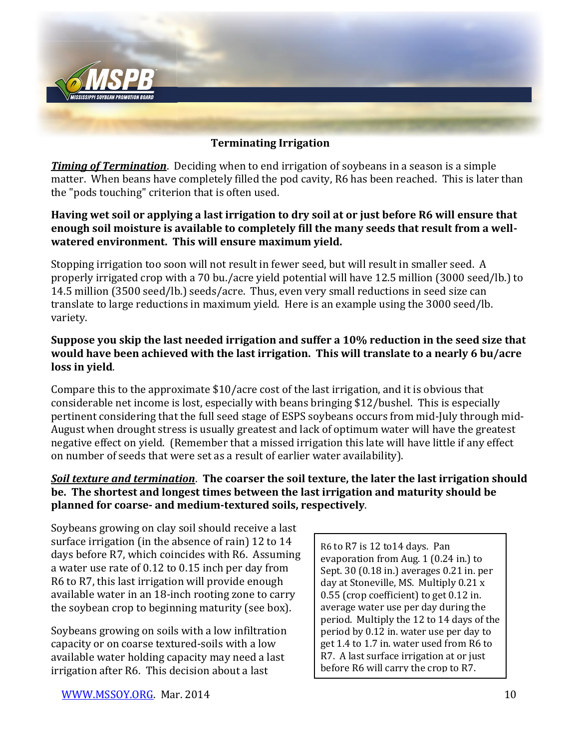

#### **Terminating Irrigation**

*Timing of Termination*. Deciding when to end irrigation of soybeans in a season is a simple matter. When beans have completely filled the pod cavity, R6 has been reached. This is later than the "pods touching" criterion that is often used.

#### **Having wet soil or applying a last irrigation to dry soil at or just before R6 will ensure that enough soil moisture is available to completely fill the many seeds that result from a wellwatered environment. This will ensure maximum yield.**

Stopping irrigation too soon will not result in fewer seed, but will result in smaller seed. A properly irrigated crop with a 70 bu./acre yield potential will have 12.5 million (3000 seed/lb.) to 14.5 million (3500 seed/lb.) seeds/acre. Thus, even very small reductions in seed size can translate to large reductions in maximum yield. Here is an example using the 3000 seed/lb. variety.

#### **Suppose you skip the last needed irrigation and suffer a 10% reduction in the seed size that would have been achieved with the last irrigation. This will translate to a nearly 6 bu/acre loss in yield**.

Compare this to the approximate \$10/acre cost of the last irrigation, and it is obvious that considerable net income is lost, especially with beans bringing \$12/bushel. This is especially pertinent considering that the full seed stage of ESPS soybeans occurs from mid-July through mid-August when drought stress is usually greatest and lack of optimum water will have the greatest negative effect on yield. (Remember that a missed irrigation this late will have little if any effect on number of seeds that were set as a result of earlier water availability).

### *Soil texture and termination*. **The coarser the soil texture, the later the last irrigation should be. The shortest and longest times between the last irrigation and maturity should be planned for coarse- and medium-textured soils, respectively**.

Soybeans growing on clay soil should receive a last surface irrigation (in the absence of rain) 12 to 14 days before R7, which coincides with R6. Assuming a water use rate of 0.12 to 0.15 inch per day from R6 to R7, this last irrigation will provide enough available water in an 18-inch rooting zone to carry the soybean crop to beginning maturity (see box).

Soybeans growing on soils with a low infiltration capacity or on coarse textured-soils with a low available water holding capacity may need a last irrigation after R6. This decision about a last

R6 to R7 is 12 to14 days. Pan evaporation from Aug. 1 (0.24 in.) to Sept. 30 (0.18 in.) averages 0.21 in. per day at Stoneville, MS. Multiply 0.21 x 0.55 (crop coefficient) to get 0.12 in. average water use per day during the period. Multiply the 12 to 14 days of the period by 0.12 in. water use per day to get 1.4 to 1.7 in. water used from R6 to R7. A last surface irrigation at or just before R6 will carry the crop to R7.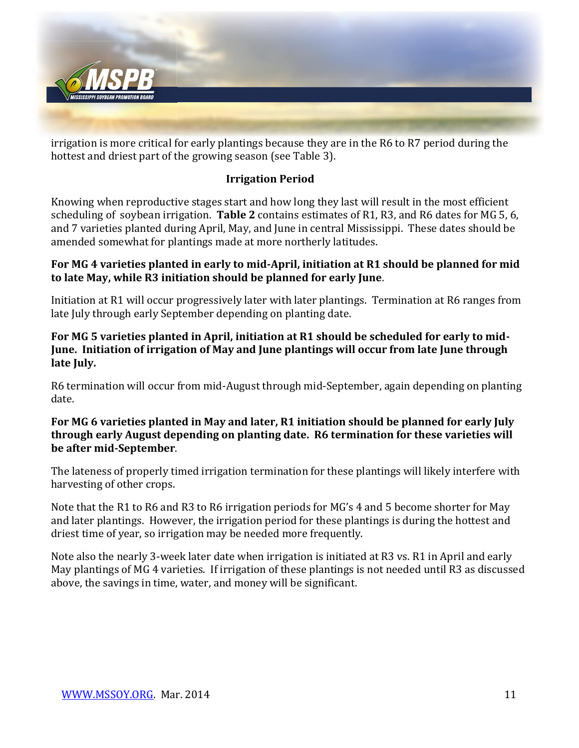

irrigation is more critical for early plantings because they are in the R6 to R7 period during the hottest and driest part of the growing season (see Table 3).

### **Irrigation Period**

Knowing when reproductive stages start and how long they last will result in the most efficient scheduling of soybean irrigation. **Table 2** contains estimates of R1, R3, and R6 dates for MG 5, 6, and 7 varieties planted during April, May, and June in central Mississippi. These dates should be amended somewhat for plantings made at more northerly latitudes.

#### **For MG 4 varieties planted in early to mid-April, initiation at R1 should be planned for mid to late May, while R3 initiation should be planned for early June**.

Initiation at R1 will occur progressively later with later plantings. Termination at R6 ranges from late July through early September depending on planting date.

### **For MG 5 varieties planted in April, initiation at R1 should be scheduled for early to mid-June. Initiation of irrigation of May and June plantings will occur from late June through late July.**

R6 termination will occur from mid-August through mid-September, again depending on planting date.

#### **For MG 6 varieties planted in May and later, R1 initiation should be planned for early July through early August depending on planting date. R6 termination for these varieties will be after mid-September**.

The lateness of properly timed irrigation termination for these plantings will likely interfere with harvesting of other crops.

Note that the R1 to R6 and R3 to R6 irrigation periods for MG's 4 and 5 become shorter for May and later plantings. However, the irrigation period for these plantings is during the hottest and driest time of year, so irrigation may be needed more frequently.

Note also the nearly 3-week later date when irrigation is initiated at R3 vs. R1 in April and early May plantings of MG 4 varieties. If irrigation of these plantings is not needed until R3 as discussed above, the savings in time, water, and money will be significant.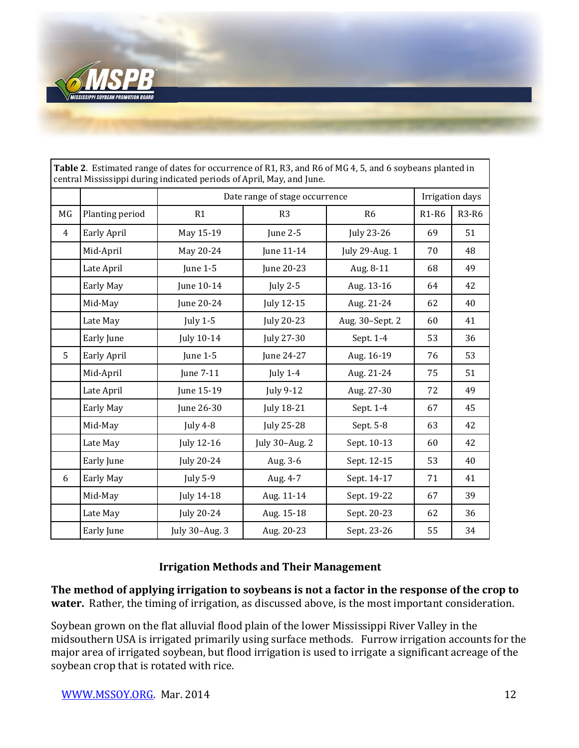

| <b>Table 2.</b> ESUMated Fange of dates for occurrence of KT, KS, and KO of MG 4, S, and O Soybeans planted in<br>central Mississippi during indicated periods of April, May, and June. |                    |                                |                   |                 |              |              |  |
|-----------------------------------------------------------------------------------------------------------------------------------------------------------------------------------------|--------------------|--------------------------------|-------------------|-----------------|--------------|--------------|--|
|                                                                                                                                                                                         |                    | Date range of stage occurrence | Irrigation days   |                 |              |              |  |
| MG                                                                                                                                                                                      | Planting period    | R1                             | R <sub>3</sub>    | R <sub>6</sub>  | <b>R1-R6</b> | <b>R3-R6</b> |  |
| 4                                                                                                                                                                                       | Early April        | May 15-19                      | June $2-5$        | July 23-26      | 69           | 51           |  |
|                                                                                                                                                                                         | Mid-April          | May 20-24                      | June 11-14        | July 29-Aug. 1  | 70           | 48           |  |
|                                                                                                                                                                                         | Late April         | June $1-5$                     | June 20-23        | Aug. 8-11       | 68           | 49           |  |
|                                                                                                                                                                                         | Early May          | June 10-14                     | <b>July 2-5</b>   | Aug. 13-16      | 64           | 42           |  |
|                                                                                                                                                                                         | Mid-May            | June 20-24                     | July 12-15        | Aug. 21-24      | 62           | 40           |  |
|                                                                                                                                                                                         | Late May           | July $1-5$                     | July 20-23        | Aug. 30-Sept. 2 | 60           | 41           |  |
|                                                                                                                                                                                         | Early June         | July 10-14                     | July 27-30        | Sept. 1-4       | 53           | 36           |  |
| 5                                                                                                                                                                                       | <b>Early April</b> | <b>June 1-5</b>                | June 24-27        | Aug. 16-19      | 76           | 53           |  |
|                                                                                                                                                                                         | Mid-April          | June 7-11                      | July $1-4$        | Aug. 21-24      | 75           | 51           |  |
|                                                                                                                                                                                         | Late April         | June 15-19                     | July 9-12         | Aug. 27-30      | 72           | 49           |  |
|                                                                                                                                                                                         | Early May          | June 26-30                     | <b>July 18-21</b> | Sept. 1-4       | 67           | 45           |  |
|                                                                                                                                                                                         | Mid-May            | July 4-8                       | July 25-28        | Sept. 5-8       | 63           | 42           |  |
|                                                                                                                                                                                         | Late May           | July 12-16                     | July 30-Aug. 2    | Sept. 10-13     | 60           | 42           |  |
|                                                                                                                                                                                         | Early June         | July 20-24                     | Aug. 3-6          | Sept. 12-15     | 53           | 40           |  |
| 6                                                                                                                                                                                       | Early May          | July $5-9$                     | Aug. 4-7          | Sept. 14-17     | 71           | 41           |  |
|                                                                                                                                                                                         | Mid-May            | July 14-18                     | Aug. 11-14        | Sept. 19-22     | 67           | 39           |  |
|                                                                                                                                                                                         | Late May           | <b>July 20-24</b>              | Aug. 15-18        | Sept. 20-23     | 62           | 36           |  |
|                                                                                                                                                                                         | Early June         | July 30-Aug. 3                 | Aug. 20-23        | Sept. 23-26     | 55           | 34           |  |

**Table 2**. Estimated range of dates for occurrence of R1, R3, and R6 of MG 4, 5, and 6 soybeans planted in

# **Irrigation Methods and Their Management**

**The method of applying irrigation to soybeans is not a factor in the response of the crop to water.** Rather, the timing of irrigation, as discussed above, is the most important consideration.

Soybean grown on the flat alluvial flood plain of the lower Mississippi River Valley in the midsouthern USA is irrigated primarily using surface methods. Furrow irrigation accounts for the major area of irrigated soybean, but flood irrigation is used to irrigate a significant acreage of the soybean crop that is rotated with rice.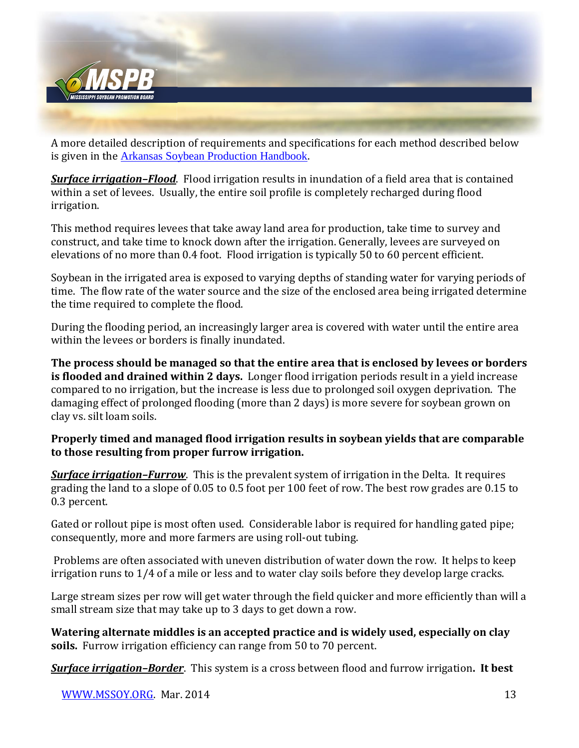

A more detailed description of requirements and specifications for each method described below is given in the [Arkansas Soybean Production Handbook](http://www.uaex.edu/publications/pdf/mp197/chapter8.pdf).

*Surface irrigation–Flood*. Flood irrigation results in inundation of a field area that is contained within a set of levees. Usually, the entire soil profile is completely recharged during flood irrigation.

This method requires levees that take away land area for production, take time to survey and construct, and take time to knock down after the irrigation. Generally, levees are surveyed on elevations of no more than 0.4 foot. Flood irrigation is typically 50 to 60 percent efficient.

Soybean in the irrigated area is exposed to varying depths of standing water for varying periods of time. The flow rate of the water source and the size of the enclosed area being irrigated determine the time required to complete the flood.

During the flooding period, an increasingly larger area is covered with water until the entire area within the levees or borders is finally inundated.

**The process should be managed so that the entire area that is enclosed by levees or borders is flooded and drained within 2 days.** Longer flood irrigation periods result in a yield increase compared to no irrigation, but the increase is less due to prolonged soil oxygen deprivation. The damaging effect of prolonged flooding (more than 2 days) is more severe for soybean grown on clay vs. silt loam soils.

### **Properly timed and managed flood irrigation results in soybean yields that are comparable to those resulting from proper furrow irrigation.**

*Surface irrigation–Furrow*. This is the prevalent system of irrigation in the Delta. It requires grading the land to a slope of 0.05 to 0.5 foot per 100 feet of row. The best row grades are 0.15 to 0.3 percent.

Gated or rollout pipe is most often used. Considerable labor is required for handling gated pipe; consequently, more and more farmers are using roll-out tubing.

Problems are often associated with uneven distribution of water down the row. It helps to keep irrigation runs to 1/4 of a mile or less and to water clay soils before they develop large cracks.

Large stream sizes per row will get water through the field quicker and more efficiently than will a small stream size that may take up to 3 days to get down a row.

**Watering alternate middles is an accepted practice and is widely used, especially on clay soils.** Furrow irrigation efficiency can range from 50 to 70 percent.

*Surface irrigation–Border*. This system is a cross between flood and furrow irrigation**. It best**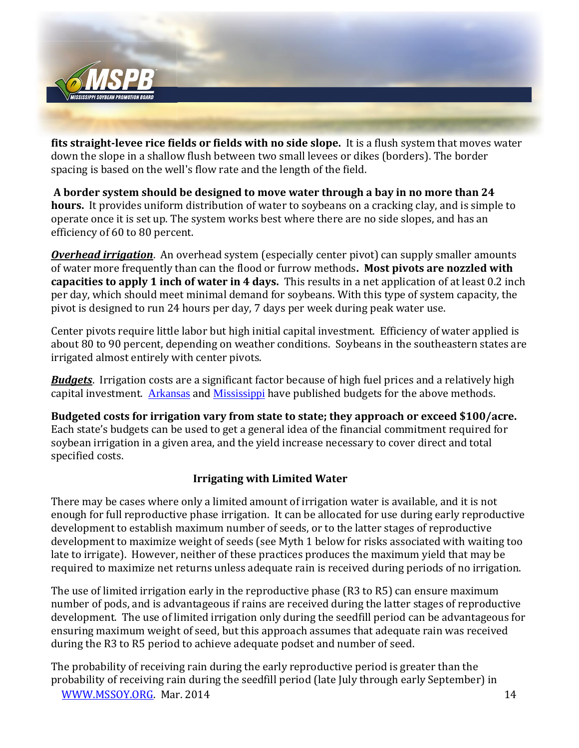

**fits straight-levee rice fields or fields with no side slope.** It is a flush system that moves water down the slope in a shallow flush between two small levees or dikes (borders). The border spacing is based on the well's flow rate and the length of the field.

**A border system should be designed to move water through a bay in no more than 24 hours.** It provides uniform distribution of water to soybeans on a cracking clay, and is simple to operate once it is set up. The system works best where there are no side slopes, and has an efficiency of 60 to 80 percent.

*Overhead irrigation*. An overhead system (especially center pivot) can supply smaller amounts of water more frequently than can the flood or furrow methods**. Most pivots are nozzled with capacities to apply 1 inch of water in 4 days.** This results in a net application of at least 0.2 inch per day, which should meet minimal demand for soybeans. With this type of system capacity, the pivot is designed to run 24 hours per day, 7 days per week during peak water use.

Center pivots require little labor but high initial capital investment. Efficiency of water applied is about 80 to 90 percent, depending on weather conditions. Soybeans in the southeastern states are irrigated almost entirely with center pivots.

*Budgets*. Irrigation costs are a significant factor because of high fuel prices and a relatively high capital investment. [Arkansas](http://www.uaex.edu/farm-ranch/economics-marketing/docs/Budgets%202014.pdf) and [Mississippi](http://www.agecon.msstate.edu/whatwedo/budgets/docs/MSUSOY14.pdf) have published budgets for the above methods.

**Budgeted costs for irrigation vary from state to state; they approach or exceed \$100/acre.**  Each state's budgets can be used to get a general idea of the financial commitment required for soybean irrigation in a given area, and the yield increase necessary to cover direct and total specified costs.

### **Irrigating with Limited Water**

There may be cases where only a limited amount of irrigation water is available, and it is not enough for full reproductive phase irrigation. It can be allocated for use during early reproductive development to establish maximum number of seeds, or to the latter stages of reproductive development to maximize weight of seeds (see Myth 1 below for risks associated with waiting too late to irrigate). However, neither of these practices produces the maximum yield that may be required to maximize net returns unless adequate rain is received during periods of no irrigation.

The use of limited irrigation early in the reproductive phase (R3 to R5) can ensure maximum number of pods, and is advantageous if rains are received during the latter stages of reproductive development. The use of limited irrigation only during the seedfill period can be advantageous for ensuring maximum weight of seed, but this approach assumes that adequate rain was received during the R3 to R5 period to achieve adequate podset and number of seed.

[WWW.MSSOY.ORG.](http://www.mssoy.org/) Mar. 2014 14 The probability of receiving rain during the early reproductive period is greater than the probability of receiving rain during the seedfill period (late July through early September) in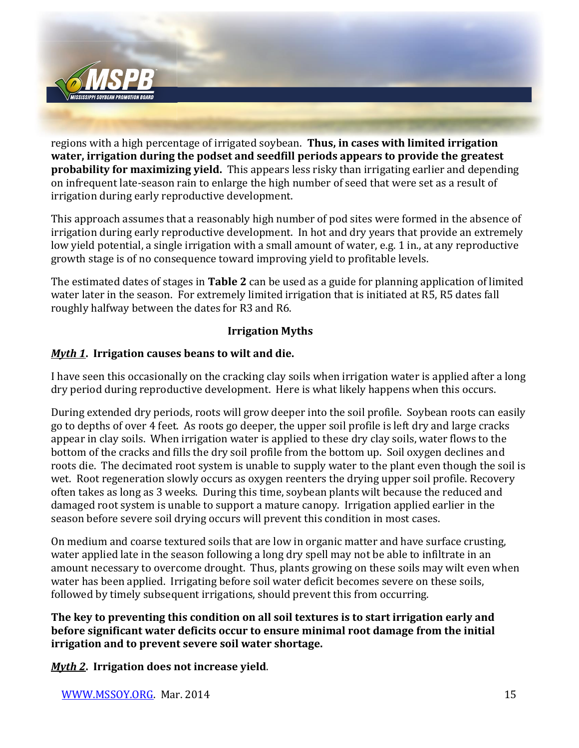

regions with a high percentage of irrigated soybean. **Thus, in cases with limited irrigation water, irrigation during the podset and seedfill periods appears to provide the greatest probability for maximizing yield.** This appears less risky than irrigating earlier and depending on infrequent late-season rain to enlarge the high number of seed that were set as a result of irrigation during early reproductive development.

This approach assumes that a reasonably high number of pod sites were formed in the absence of irrigation during early reproductive development. In hot and dry years that provide an extremely low yield potential, a single irrigation with a small amount of water, e.g. 1 in., at any reproductive growth stage is of no consequence toward improving yield to profitable levels.

The estimated dates of stages in **Table 2** can be used as a guide for planning application of limited water later in the season. For extremely limited irrigation that is initiated at R5, R5 dates fall roughly halfway between the dates for R3 and R6.

### **Irrigation Myths**

### *Myth 1***. Irrigation causes beans to wilt and die.**

I have seen this occasionally on the cracking clay soils when irrigation water is applied after a long dry period during reproductive development. Here is what likely happens when this occurs.

During extended dry periods, roots will grow deeper into the soil profile. Soybean roots can easily go to depths of over 4 feet. As roots go deeper, the upper soil profile is left dry and large cracks appear in clay soils. When irrigation water is applied to these dry clay soils, water flows to the bottom of the cracks and fills the dry soil profile from the bottom up. Soil oxygen declines and roots die. The decimated root system is unable to supply water to the plant even though the soil is wet. Root regeneration slowly occurs as oxygen reenters the drying upper soil profile. Recovery often takes as long as 3 weeks. During this time, soybean plants wilt because the reduced and damaged root system is unable to support a mature canopy. Irrigation applied earlier in the season before severe soil drying occurs will prevent this condition in most cases.

On medium and coarse textured soils that are low in organic matter and have surface crusting, water applied late in the season following a long dry spell may not be able to infiltrate in an amount necessary to overcome drought. Thus, plants growing on these soils may wilt even when water has been applied. Irrigating before soil water deficit becomes severe on these soils, followed by timely subsequent irrigations, should prevent this from occurring.

**The key to preventing this condition on all soil textures is to start irrigation early and before significant water deficits occur to ensure minimal root damage from the initial irrigation and to prevent severe soil water shortage.**

*Myth 2***. Irrigation does not increase yield**.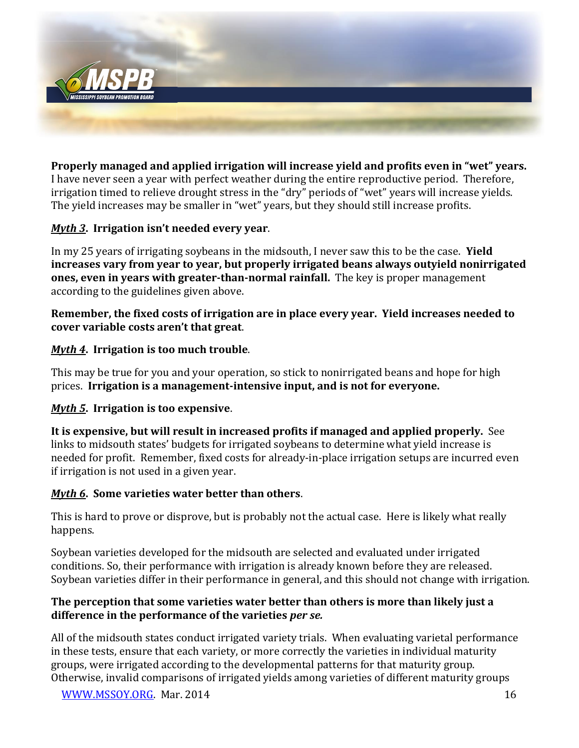

**Properly managed and applied irrigation will increase yield and profits even in "wet" years.**  I have never seen a year with perfect weather during the entire reproductive period. Therefore, irrigation timed to relieve drought stress in the "dry" periods of "wet" years will increase yields. The yield increases may be smaller in "wet" years, but they should still increase profits.

### *Myth 3***. Irrigation isn't needed every year**.

In my 25 years of irrigating soybeans in the midsouth, I never saw this to be the case. **Yield increases vary from year to year, but properly irrigated beans always outyield nonirrigated ones, even in years with greater-than-normal rainfall.** The key is proper management according to the guidelines given above.

**Remember, the fixed costs of irrigation are in place every year. Yield increases needed to cover variable costs aren't that great**.

### *Myth 4***. Irrigation is too much trouble**.

This may be true for you and your operation, so stick to nonirrigated beans and hope for high prices. **Irrigation is a management-intensive input, and is not for everyone.**

#### *Myth 5***. Irrigation is too expensive**.

**It is expensive, but will result in increased profits if managed and applied properly.** See links to midsouth states' budgets for irrigated soybeans to determine what yield increase is needed for profit. Remember, fixed costs for already-in-place irrigation setups are incurred even if irrigation is not used in a given year.

#### *Myth 6***. Some varieties water better than others**.

This is hard to prove or disprove, but is probably not the actual case. Here is likely what really happens.

Soybean varieties developed for the midsouth are selected and evaluated under irrigated conditions. So, their performance with irrigation is already known before they are released. Soybean varieties differ in their performance in general, and this should not change with irrigation.

### **The perception that some varieties water better than others is more than likely just a difference in the performance of the varieties** *per se.*

All of the midsouth states conduct irrigated variety trials. When evaluating varietal performance in these tests, ensure that each variety, or more correctly the varieties in individual maturity groups, were irrigated according to the developmental patterns for that maturity group. Otherwise, invalid comparisons of irrigated yields among varieties of different maturity groups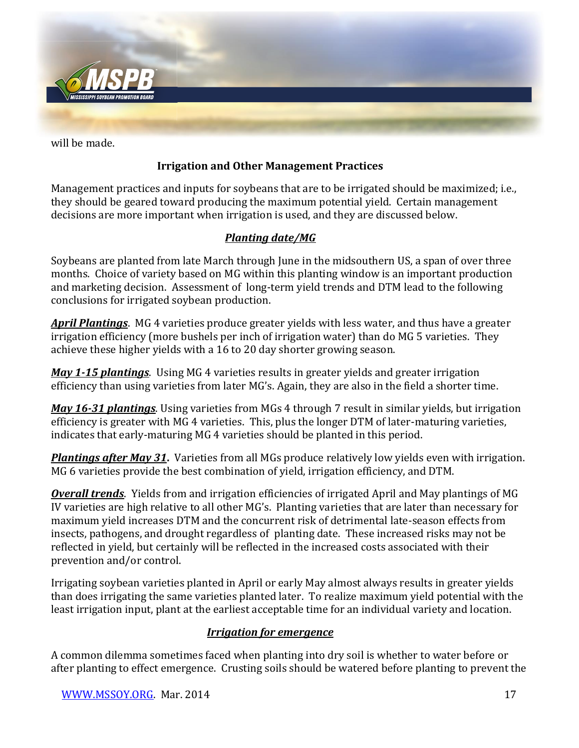

will be made.

## **Irrigation and Other Management Practices**

Management practices and inputs for soybeans that are to be irrigated should be maximized; i.e., they should be geared toward producing the maximum potential yield. Certain management decisions are more important when irrigation is used, and they are discussed below.

## *Planting date/MG*

Soybeans are planted from late March through June in the midsouthern US, a span of over three months. Choice of variety based on MG within this planting window is an important production and marketing decision. Assessment of long-term yield trends and DTM lead to the following conclusions for irrigated soybean production.

*April Plantings*. MG 4 varieties produce greater yields with less water, and thus have a greater irrigation efficiency (more bushels per inch of irrigation water) than do MG 5 varieties. They achieve these higher yields with a 16 to 20 day shorter growing season.

*May 1-15 plantings*. Using MG 4 varieties results in greater yields and greater irrigation efficiency than using varieties from later MG's. Again, they are also in the field a shorter time.

*May 16-31 plantings*. Using varieties from MGs 4 through 7 result in similar yields, but irrigation efficiency is greater with MG 4 varieties. This, plus the longer DTM of later-maturing varieties, indicates that early-maturing MG 4 varieties should be planted in this period.

*Plantings after May 31***.** Varieties from all MGs produce relatively low yields even with irrigation. MG 6 varieties provide the best combination of yield, irrigation efficiency, and DTM.

*Overall trends*. Yields from and irrigation efficiencies of irrigated April and May plantings of MG IV varieties are high relative to all other MG's. Planting varieties that are later than necessary for maximum yield increases DTM and the concurrent risk of detrimental late-season effects from insects, pathogens, and drought regardless of planting date. These increased risks may not be reflected in yield, but certainly will be reflected in the increased costs associated with their prevention and/or control.

Irrigating soybean varieties planted in April or early May almost always results in greater yields than does irrigating the same varieties planted later. To realize maximum yield potential with the least irrigation input, plant at the earliest acceptable time for an individual variety and location.

#### *Irrigation for emergence*

A common dilemma sometimes faced when planting into dry soil is whether to water before or after planting to effect emergence. Crusting soils should be watered before planting to prevent the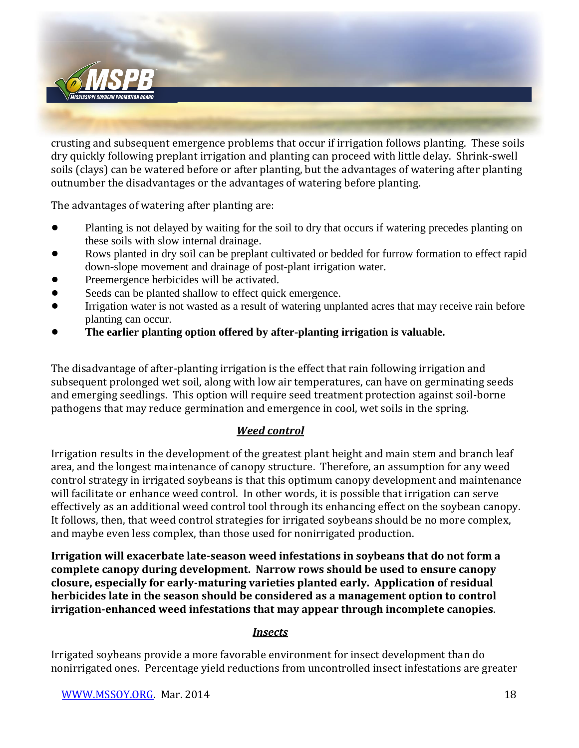

crusting and subsequent emergence problems that occur if irrigation follows planting. These soils dry quickly following preplant irrigation and planting can proceed with little delay. Shrink-swell soils (clays) can be watered before or after planting, but the advantages of watering after planting outnumber the disadvantages or the advantages of watering before planting.

The advantages of watering after planting are:

- Planting is not delayed by waiting for the soil to dry that occurs if watering precedes planting on these soils with slow internal drainage.
- Rows planted in dry soil can be preplant cultivated or bedded for furrow formation to effect rapid down-slope movement and drainage of post-plant irrigation water.
- Preemergence herbicides will be activated.
- Seeds can be planted shallow to effect quick emergence.
- Irrigation water is not wasted as a result of watering unplanted acres that may receive rain before planting can occur.
- ! **The earlier planting option offered by after-planting irrigation is valuable.**

The disadvantage of after-planting irrigation is the effect that rain following irrigation and subsequent prolonged wet soil, along with low air temperatures, can have on germinating seeds and emerging seedlings. This option will require seed treatment protection against soil-borne pathogens that may reduce germination and emergence in cool, wet soils in the spring.

### *Weed control*

Irrigation results in the development of the greatest plant height and main stem and branch leaf area, and the longest maintenance of canopy structure. Therefore, an assumption for any weed control strategy in irrigated soybeans is that this optimum canopy development and maintenance will facilitate or enhance weed control. In other words, it is possible that irrigation can serve effectively as an additional weed control tool through its enhancing effect on the soybean canopy. It follows, then, that weed control strategies for irrigated soybeans should be no more complex, and maybe even less complex, than those used for nonirrigated production.

**Irrigation will exacerbate late-season weed infestations in soybeans that do not form a complete canopy during development. Narrow rows should be used to ensure canopy closure, especially for early-maturing varieties planted early. Application of residual herbicides late in the season should be considered as a management option to control irrigation-enhanced weed infestations that may appear through incomplete canopies**.

#### *Insects*

Irrigated soybeans provide a more favorable environment for insect development than do nonirrigated ones. Percentage yield reductions from uncontrolled insect infestations are greater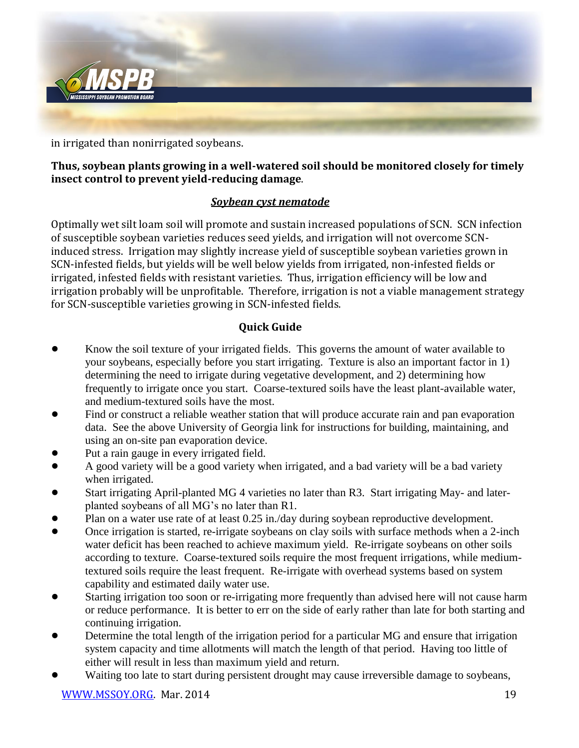

in irrigated than nonirrigated soybeans.

### **Thus, soybean plants growing in a well-watered soil should be monitored closely for timely insect control to prevent yield-reducing damage**.

### *Soybean cyst nematode*

Optimally wet silt loam soil will promote and sustain increased populations of SCN. SCN infection of susceptible soybean varieties reduces seed yields, and irrigation will not overcome SCNinduced stress. Irrigation may slightly increase yield of susceptible soybean varieties grown in SCN-infested fields, but yields will be well below yields from irrigated, non-infested fields or irrigated, infested fields with resistant varieties. Thus, irrigation efficiency will be low and irrigation probably will be unprofitable. Therefore, irrigation is not a viable management strategy for SCN-susceptible varieties growing in SCN-infested fields.

### **Quick Guide**

- Know the soil texture of your irrigated fields. This governs the amount of water available to your soybeans, especially before you start irrigating. Texture is also an important factor in 1) determining the need to irrigate during vegetative development, and 2) determining how frequently to irrigate once you start. Coarse-textured soils have the least plant-available water, and medium-textured soils have the most.
- Find or construct a reliable weather station that will produce accurate rain and pan evaporation data. See the above University of Georgia link for instructions for building, maintaining, and using an on-site pan evaporation device.
- Put a rain gauge in every irrigated field.
- ! A good variety will be a good variety when irrigated, and a bad variety will be a bad variety when irrigated.
- ! Start irrigating April-planted MG 4 varieties no later than R3. Start irrigating May- and laterplanted soybeans of all MG's no later than R1.
- Plan on a water use rate of at least 0.25 in./day during soybean reproductive development.
- Once irrigation is started, re-irrigate soybeans on clay soils with surface methods when a 2-inch water deficit has been reached to achieve maximum yield. Re-irrigate soybeans on other soils according to texture. Coarse-textured soils require the most frequent irrigations, while mediumtextured soils require the least frequent. Re-irrigate with overhead systems based on system capability and estimated daily water use.
- Starting irrigation too soon or re-irrigating more frequently than advised here will not cause harm or reduce performance. It is better to err on the side of early rather than late for both starting and continuing irrigation.
- Determine the total length of the irrigation period for a particular MG and ensure that irrigation system capacity and time allotments will match the length of that period. Having too little of either will result in less than maximum yield and return.
- Waiting too late to start during persistent drought may cause irreversible damage to soybeans,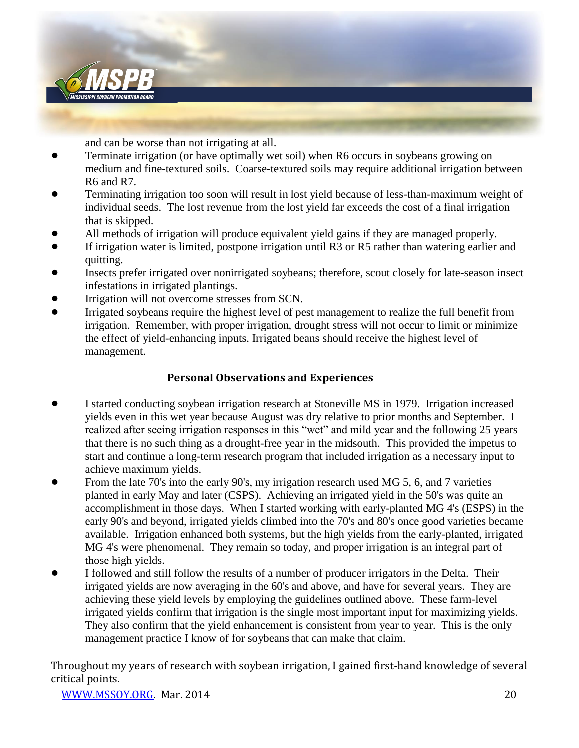

and can be worse than not irrigating at all.

- ! Terminate irrigation (or have optimally wet soil) when R6 occurs in soybeans growing on medium and fine-textured soils. Coarse-textured soils may require additional irrigation between R6 and R7.
- ! Terminating irrigation too soon will result in lost yield because of less-than-maximum weight of individual seeds. The lost revenue from the lost yield far exceeds the cost of a final irrigation that is skipped.
- ! All methods of irrigation will produce equivalent yield gains if they are managed properly.
- If irrigation water is limited, postpone irrigation until R3 or R5 rather than watering earlier and quitting.
- ! Insects prefer irrigated over nonirrigated soybeans; therefore, scout closely for late-season insect infestations in irrigated plantings.
- Irrigation will not overcome stresses from SCN.
- ! Irrigated soybeans require the highest level of pest management to realize the full benefit from irrigation. Remember, with proper irrigation, drought stress will not occur to limit or minimize the effect of yield-enhancing inputs. Irrigated beans should receive the highest level of management.

#### **Personal Observations and Experiences**

- ! I started conducting soybean irrigation research at Stoneville MS in 1979. Irrigation increased yields even in this wet year because August was dry relative to prior months and September. I realized after seeing irrigation responses in this "wet" and mild year and the following 25 years that there is no such thing as a drought-free year in the midsouth. This provided the impetus to start and continue a long-term research program that included irrigation as a necessary input to achieve maximum yields.
- From the late 70's into the early 90's, my irrigation research used MG 5, 6, and 7 varieties planted in early May and later (CSPS). Achieving an irrigated yield in the 50's was quite an accomplishment in those days. When I started working with early-planted MG 4's (ESPS) in the early 90's and beyond, irrigated yields climbed into the 70's and 80's once good varieties became available. Irrigation enhanced both systems, but the high yields from the early-planted, irrigated MG 4's were phenomenal. They remain so today, and proper irrigation is an integral part of those high yields.
- ! I followed and still follow the results of a number of producer irrigators in the Delta. Their irrigated yields are now averaging in the 60's and above, and have for several years. They are achieving these yield levels by employing the guidelines outlined above. These farm-level irrigated yields confirm that irrigation is the single most important input for maximizing yields. They also confirm that the yield enhancement is consistent from year to year. This is the only management practice I know of for soybeans that can make that claim.

Throughout my years of research with soybean irrigation, I gained first-hand knowledge of several critical points.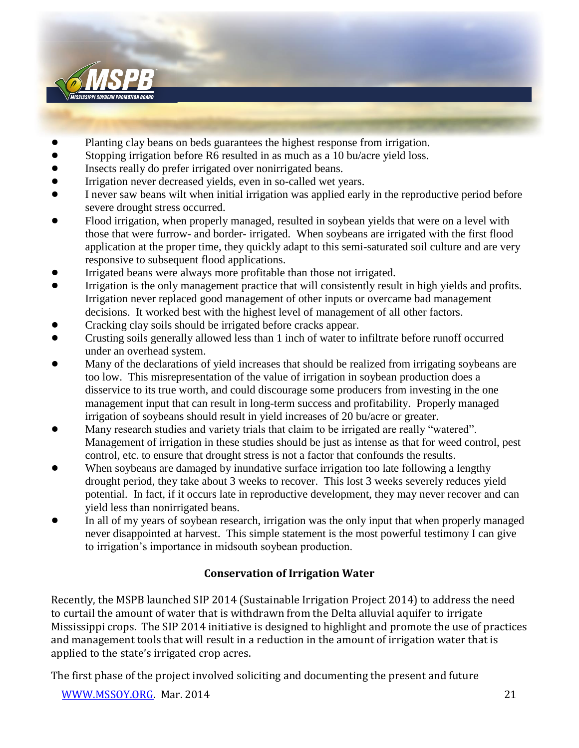

- ! Planting clay beans on beds guarantees the highest response from irrigation.
- Stopping irrigation before R6 resulted in as much as a 10 bu/acre yield loss.
- Insects really do prefer irrigated over nonirrigated beans.
- ! Irrigation never decreased yields, even in so-called wet years.
- ! I never saw beans wilt when initial irrigation was applied early in the reproductive period before severe drought stress occurred.
- ! Flood irrigation, when properly managed, resulted in soybean yields that were on a level with those that were furrow- and border- irrigated. When soybeans are irrigated with the first flood application at the proper time, they quickly adapt to this semi-saturated soil culture and are very responsive to subsequent flood applications.
- ! Irrigated beans were always more profitable than those not irrigated.
- Irrigation is the only management practice that will consistently result in high yields and profits. Irrigation never replaced good management of other inputs or overcame bad management decisions. It worked best with the highest level of management of all other factors.
- ! Cracking clay soils should be irrigated before cracks appear.
- ! Crusting soils generally allowed less than 1 inch of water to infiltrate before runoff occurred under an overhead system.
- ! Many of the declarations of yield increases that should be realized from irrigating soybeans are too low. This misrepresentation of the value of irrigation in soybean production does a disservice to its true worth, and could discourage some producers from investing in the one management input that can result in long-term success and profitability. Properly managed irrigation of soybeans should result in yield increases of 20 bu/acre or greater.
- ! Many research studies and variety trials that claim to be irrigated are really "watered". Management of irrigation in these studies should be just as intense as that for weed control, pest control, etc. to ensure that drought stress is not a factor that confounds the results.
- When soybeans are damaged by inundative surface irrigation too late following a lengthy drought period, they take about 3 weeks to recover. This lost 3 weeks severely reduces yield potential. In fact, if it occurs late in reproductive development, they may never recover and can yield less than nonirrigated beans.
- In all of my years of soybean research, irrigation was the only input that when properly managed never disappointed at harvest. This simple statement is the most powerful testimony I can give to irrigation's importance in midsouth soybean production.

## **Conservation of Irrigation Water**

Recently, the MSPB launched SIP 2014 (Sustainable Irrigation Project 2014) to address the need to curtail the amount of water that is withdrawn from the Delta alluvial aquifer to irrigate Mississippi crops. The SIP 2014 initiative is designed to highlight and promote the use of practices and management tools that will result in a reduction in the amount of irrigation water that is applied to the state's irrigated crop acres.

The first phase of the project involved soliciting and documenting the present and future

[WWW.MSSOY.ORG.](http://www.mssoy.org/) Mar. 2014 21 22 22 22 23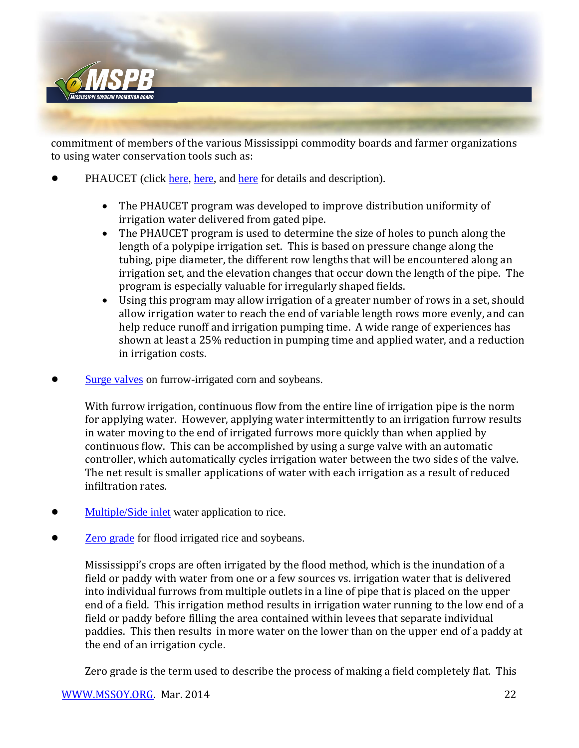

commitment of members of the various Mississippi commodity boards and farmer organizations to using water conservation tools such as:

- PHAUCET (click [here,](http://msucares.com/news/print/agnews/an12/120928phaucet.html) [here](http://www.mafg.net/Files/Improving%20Furrow%20Irrigation%20With%20Help%20Of%20Phaucet%20Computer%20ProgramGfgYXE.pdf), and here for details and description).
	- The PHAUCET program was developed to improve distribution uniformity of irrigation water delivered from gated pipe.
	- The PHAUCET program is used to determine the size of holes to punch along the length of a polypipe irrigation set. This is based on pressure change along the tubing, pipe diameter, the different row lengths that will be encountered along an irrigation set, and the elevation changes that occur down the length of the pipe. The program is especially valuable for irregularly shaped fields.
	- Using this program may allow irrigation of a greater number of rows in a set, should allow irrigation water to reach the end of variable length rows more evenly, and can help reduce runoff and irrigation pumping time. A wide range of experiences has shown at least a 25% reduction in pumping time and applied water, and a reduction in irrigation costs.
- [Surge valves](http://www.ianrpubs.unl.edu/epublic/pages/publicationD.jsp?publicationId=1035) on furrow-irrigated corn and soybeans.

With furrow irrigation, continuous flow from the entire line of irrigation pipe is the norm for applying water. However, applying water intermittently to an irrigation furrow results in water moving to the end of irrigated furrows more quickly than when applied by continuous flow. This can be accomplished by using a surge valve with an automatic controller, which automatically cycles irrigation water between the two sides of the valve. The net result is smaller applications of water with each irrigation as a result of reduced infiltration rates.

- [Multiple/Side inlet](http://www.youtube.com/watch?v=XR2JNspMXkk) water application to rice.
- [Zero grade](http://portal.asfmra.org/userfiles/file/308_Hignight.pdf) for flood irrigated rice and soybeans.

Mississippi's crops are often irrigated by the flood method, which is the inundation of a field or paddy with water from one or a few sources vs. irrigation water that is delivered into individual furrows from multiple outlets in a line of pipe that is placed on the upper end of a field. This irrigation method results in irrigation water running to the low end of a field or paddy before filling the area contained within levees that separate individual paddies. This then results in more water on the lower than on the upper end of a paddy at the end of an irrigation cycle.

Zero grade is the term used to describe the process of making a field completely flat. This